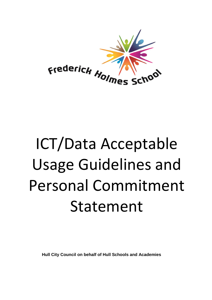

# ICT/Data Acceptable Usage Guidelines and Personal Commitment Statement

**Hull City Council on behalf of Hull Schools and Academies**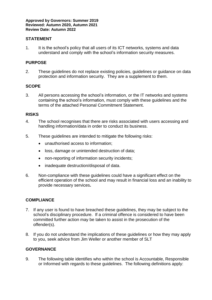#### **STATEMENT**

1. It is the school's policy that all users of its ICT networks, systems and data understand and comply with the school's information security measures.

#### **PURPOSE**

2. These guidelines do not replace existing policies, guidelines or guidance on data protection and information security. They are a supplement to them.

#### **SCOPE**

3. All persons accessing the school's information, or the IT networks and systems containing the school's information, must comply with these guidelines and the terms of the attached Personal Commitment Statement.

#### **RISKS**

- 4. The school recognises that there are risks associated with users accessing and handling information/data in order to conduct its business.
- 5. These guidelines are intended to mitigate the following risks:
	- unauthorised access to information;
	- loss, damage or unintended destruction of data;
	- non-reporting of information security incidents;
	- inadequate destruction/disposal of data.
- 6. Non-compliance with these guidelines could have a significant effect on the efficient operation of the school and may result in financial loss and an inability to provide necessary services**.**

#### **COMPLIANCE**

- 7. If any user is found to have breached these guidelines, they may be subject to the school's disciplinary procedure. If a criminal offence is considered to have been committed further action may be taken to assist in the prosecution of the offender(s).
- 8. If you do not understand the implications of these guidelines or how they may apply to you, seek advice from Jim Weller or another member of SLT

#### **GOVERNANCE**

9. The following table identifies who within the school is Accountable, Responsible or Informed with regards to these guidelines. The following definitions apply: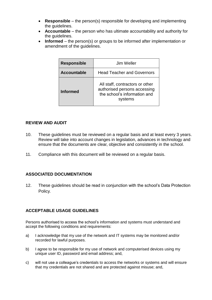- **Responsible** the person(s) responsible for developing and implementing the guidelines.
- **Accountable** the person who has ultimate accountability and authority for the guidelines.
- **Informed** the person(s) or groups to be informed after implementation or amendment of the guidelines.

| <b>Responsible</b> | Jim Weller                                                                                                 |
|--------------------|------------------------------------------------------------------------------------------------------------|
| <b>Accountable</b> | <b>Head Teacher and Governors</b>                                                                          |
| <b>Informed</b>    | All staff, contractors or other<br>authorised persons accessing<br>the school's information and<br>systems |

#### **REVIEW AND AUDIT**

- 10. These guidelines must be reviewed on a regular basis and at least every 3 years. Review will take into account changes in legislation, advances in technology and ensure that the documents are clear, objective and consistently in the school.
- 11. Compliance with this document will be reviewed on a regular basis.

### **ASSOCIATED DOCUMENTATION**

12. These guidelines should be read in conjunction with the school's Data Protection Policy.

### **ACCEPTABLE USAGE GUIDELINES**

Persons authorised to access the school's information and systems must understand and accept the following conditions and requirements:

- a) I acknowledge that my use of the network and IT systems may be monitored and/or recorded for lawful purposes.
- b) I agree to be responsible for my use of network and computerised devices using my unique user ID, password and email address; and,
- c) will not use a colleague's credentials to access the networks or systems and will ensure that my credentials are not shared and are protected against misuse; and,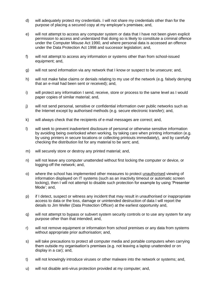- d) will adequately protect my credentials. I will not share my credentials other than for the purpose of placing a secured copy at my employer's premises; and,
- e) will not attempt to access any computer system or data that I have not been given explicit permission to access and understand that doing so is likely to constitute a criminal offence under the Computer Misuse Act 1990, and where personal data is accessed an offence under the Data Protection Act 1998 and successor legislation; and,
- f) will not attempt to access any information or systems other than from school-issued equipment; and,
- g) will not send information via any network that I know or suspect to be unsecure; and,
- h) will not make false claims or denials relating to my use of the network (e.g. falsely denying that an e-mail had been sent or received); and,
- i) will protect any information I send, receive, store or process to the same level as I would paper copies of similar material; and,
- j) will not send personal, sensitive or confidential information over public networks such as the Internet except by authorised methods (e.g. secure electronic transfer); and,
- k) will always check that the recipients of e-mail messages are correct; and,
- l) will seek to prevent inadvertent disclosure of personal or otherwise sensitive information by avoiding being overlooked when working, by taking care when printing information (e.g. by using printers in secure locations or collecting printouts immediately), and by carefully checking the distribution list for any material to be sent; and,
- m) will securely store or destroy any printed material; and,
- n) will not leave any computer unattended without first locking the computer or device, or logging-off the network; and,
- o) where the school has implemented other measures to protect unauthorised viewing of information displayed on IT systems (such as an inactivity timeout or automatic screen locking), then I will not attempt to disable such protection for example by using 'Presenter Mode'; and,
- p) if I detect, suspect or witness any incident that may result in unauthorised or inappropriate access to data or the loss, damage or unintended destruction of data I will report the details to Jim Weller (Data Protection Officer) at the earliest opportunity and,
- q) will not attempt to bypass or subvert system security controls or to use any system for any purpose other than that intended; and,
- r) will not remove equipment or information from school premises or any data from systems without appropriate prior authorisation; and,
- s) will take precautions to protect all computer media and portable computers when carrying them outside my organisation's premises (e.g. not leaving a laptop unattended or on display in a car); and,
- t) will not knowingly introduce viruses or other malware into the network or systems; and,
- u) will not disable anti-virus protection provided at my computer; and,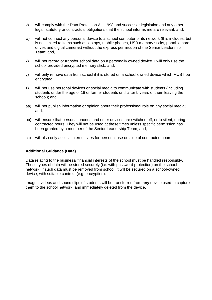- v) will comply with the Data Protection Act 1998 and successor legislation and any other legal, statutory or contractual obligations that the school informs me are relevant; and,
- w) will not connect any personal device to a school computer or its network (this includes, but is not limited to items such as laptops, mobile phones, USB memory sticks, portable hard drives and digital cameras) without the express permission of the Senior Leadership Team; and,
- x) will not record or transfer school data on a personally owned device. I will only use the school provided encrypted memory stick; and,
- y) will only remove data from school if it is stored on a school owned device which MUST be encrypted.
- z) will not use personal devices or social media to communicate with students (including students under the age of 18 or former students until after 5 years of them leaving the school); and,
- aa) will not publish information or opinion about their professional role on any social media; and,
- bb) will ensure that personal phones and other devices are switched off, or to silent, during contracted hours. They will not be used at these times unless specific permission has been granted by a member of the Senior Leadership Team; and,
- cc) will also only access internet sites for personal use outside of contracted hours.

#### **Additional Guidance (Data)**

Data relating to the business/ financial interests of the school must be handled responsibly. These types of data will be stored securely (i.e. with password protection) on the school network. If such data must be removed from school, it will be secured on a school-owned device, with suitable controls (e.g. encryption).

Images, videos and sound clips of students will be transferred from **any** device used to capture them to the school network, and immediately deleted from the device.